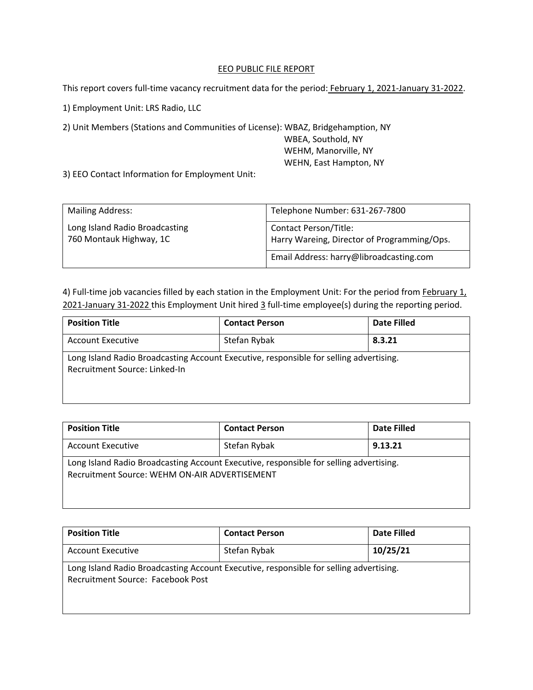## EEO PUBLIC FILE REPORT

This report covers full-time vacancy recruitment data for the period: February 1, 2021-January 31-2022.

1) Employment Unit: LRS Radio, LLC

2) Unit Members (Stations and Communities of License): WBAZ, Bridgehamption, NY

 WBEA, Southold, NY WEHM, Manorville, NY WEHN, East Hampton, NY

 $\overline{\phantom{a}}$ 

3) EEO Contact Information for Employment Unit:

| <b>Mailing Address:</b>                                   | Telephone Number: 631-267-7800                                              |  |
|-----------------------------------------------------------|-----------------------------------------------------------------------------|--|
| Long Island Radio Broadcasting<br>760 Montauk Highway, 1C | <b>Contact Person/Title:</b><br>Harry Wareing, Director of Programming/Ops. |  |
|                                                           | Email Address: harry@libroadcasting.com                                     |  |

4) Full-time job vacancies filled by each station in the Employment Unit: For the period from February 1, 2021-January 31-2022 this Employment Unit hired 3 full-time employee(s) during the reporting period.

| <b>Position Title</b>                                                                                                   | <b>Contact Person</b> | Date Filled |
|-------------------------------------------------------------------------------------------------------------------------|-----------------------|-------------|
| <b>Account Executive</b>                                                                                                | Stefan Rybak          | 8.3.21      |
| Long Island Radio Broadcasting Account Executive, responsible for selling advertising.<br>Recruitment Source: Linked-In |                       |             |

| <b>Position Title</b>                                                                                                                   | <b>Contact Person</b> | Date Filled |
|-----------------------------------------------------------------------------------------------------------------------------------------|-----------------------|-------------|
| <b>Account Executive</b>                                                                                                                | Stefan Rybak          | 9.13.21     |
| Long Island Radio Broadcasting Account Executive, responsible for selling advertising.<br>Recruitment Source: WEHM ON-AIR ADVERTISEMENT |                       |             |

| <b>Position Title</b>                                                                                                       | <b>Contact Person</b> | Date Filled |
|-----------------------------------------------------------------------------------------------------------------------------|-----------------------|-------------|
| <b>Account Executive</b>                                                                                                    | Stefan Rybak          | 10/25/21    |
| Long Island Radio Broadcasting Account Executive, responsible for selling advertising.<br>Recruitment Source: Facebook Post |                       |             |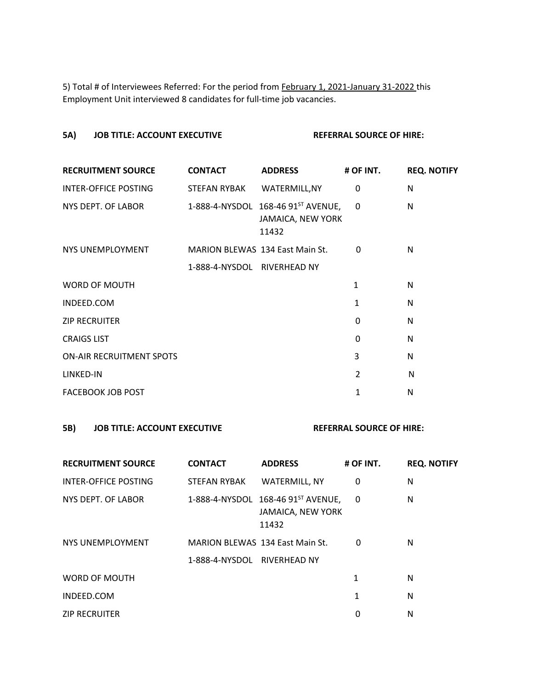5) Total # of Interviewees Referred: For the period from February 1, 2021-January 31-2022 this Employment Unit interviewed 8 candidates for full-time job vacancies.

# **5A) JOB TITLE: ACCOUNT EXECUTIVE REFERRAL SOURCE OF HIRE:**

| <b>RECRUITMENT SOURCE</b>       | <b>CONTACT</b>                         | <b>ADDRESS</b>                                                               | # OF INT.      | <b>REQ. NOTIFY</b> |
|---------------------------------|----------------------------------------|------------------------------------------------------------------------------|----------------|--------------------|
| <b>INTER-OFFICE POSTING</b>     | STEFAN RYBAK                           | WATERMILL, NY                                                                | 0              | N                  |
| NYS DEPT. OF LABOR              |                                        | 1-888-4-NYSDOL 168-46 91 <sup>ST</sup> AVENUE,<br>JAMAICA, NEW YORK<br>11432 | $\mathbf{0}$   | N                  |
| NYS UNEMPLOYMENT                | <b>MARION BLEWAS 134 East Main St.</b> |                                                                              | 0              | N                  |
|                                 | 1-888-4-NYSDOL RIVERHEAD NY            |                                                                              |                |                    |
| <b>WORD OF MOUTH</b>            |                                        |                                                                              | 1              | N                  |
| INDEED.COM                      |                                        |                                                                              | 1              | N                  |
| <b>ZIP RECRUITER</b>            |                                        |                                                                              | 0              | N                  |
| <b>CRAIGS LIST</b>              |                                        |                                                                              | $\Omega$       | N                  |
| <b>ON-AIR RECRUITMENT SPOTS</b> |                                        |                                                                              | 3              | N                  |
| LINKED-IN                       |                                        |                                                                              | $\overline{2}$ | N                  |
| <b>FACEBOOK JOB POST</b>        |                                        |                                                                              | 1              | N                  |
|                                 |                                        |                                                                              |                |                    |

### **5B) JOB TITLE: ACCOUNT EXECUTIVE REFERRAL SOURCE OF HIRE:**

| <b>RECRUITMENT SOURCE</b> | <b>CONTACT</b>                         | <b>ADDRESS</b>                                                   | # OF INT. | <b>REQ. NOTIFY</b> |
|---------------------------|----------------------------------------|------------------------------------------------------------------|-----------|--------------------|
| INTER-OFFICE POSTING      | STEFAN RYBAK                           | WATERMILL, NY                                                    | 0         | N                  |
| NYS DEPT. OF LABOR        |                                        | 1-888-4-NYSDOL 168-46 91ST AVENUE,<br>JAMAICA, NEW YORK<br>11432 | 0         | N                  |
| NYS UNEMPLOYMENT          | <b>MARION BLEWAS 134 East Main St.</b> |                                                                  | 0         | N                  |
|                           | 1-888-4-NYSDOL RIVERHEAD NY            |                                                                  |           |                    |
| WORD OF MOUTH             |                                        |                                                                  | 1         | N                  |
| INDEED.COM                |                                        |                                                                  | 1         | N                  |
| <b>ZIP RECRUITER</b>      |                                        |                                                                  | 0         | N                  |